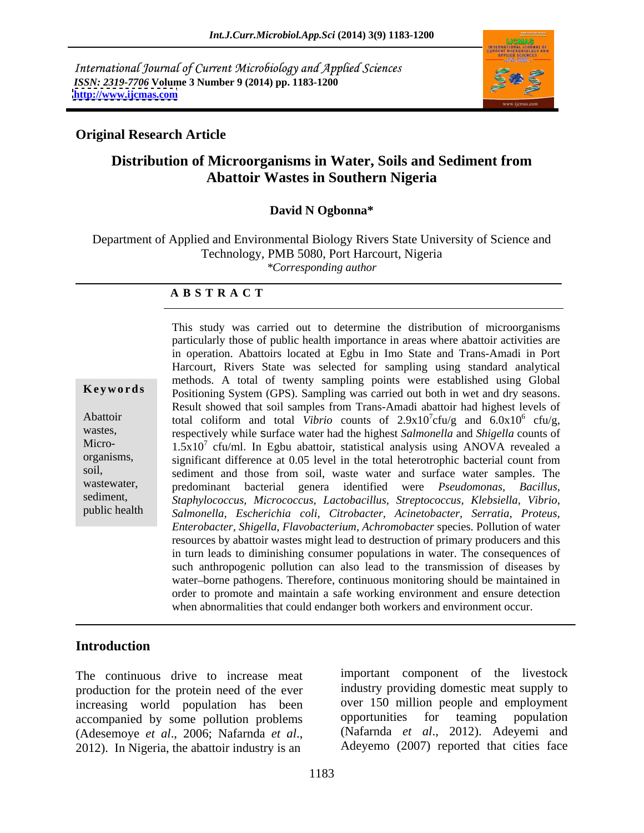International Journal of Current Microbiology and Applied Sciences *ISSN: 2319-7706* **Volume 3 Number 9 (2014) pp. 1183-1200 <http://www.ijcmas.com>**



## **Original Research Article**

# **Distribution of Microorganisms in Water, Soils and Sediment from Abattoir Wastes in Southern Nigeria**

### **David N Ogbonna\***

Department of Applied and Environmental Biology Rivers State University of Science and Technology, PMB 5080, Port Harcourt, Nigeria *\*Corresponding author* 

#### **A B S T R A C T**

**Keywords** Positioning System (GPS). Sampling was carried out both in wet and dry seasons. Abattoir total coliform and total *Vibrio* counts of  $2.9 \times 10^{7}$  cfu/g and  $6.0 \times 10^{6}$  cfu/g, wastes, respectively while surface water had the highest *Salmonella* and *Shigella* counts of Micro-  $1.5x10^7$  cfu/ml. In Egbu abattoir, statistical analysis using ANOVA revealed a organisms, significant difference at 0.05 level in the total heterotrophic bacterial count from soil, sediment and those from soil, waste water and surface water samples. The wastewater, predominant bacterial genera identified were *Pseudomonas, Bacillus,* sediment, *Staphylococcus, Micrococcus, Lactobacillus, Streptococcus, Klebsiella, Vibrio,* public health *Salmonella, Escherichia coli, Citrobacter, Acinetobacter, Serratia, Proteus,* This study was carried out to determine the distribution of microorganisms particularly those of public health importance in areas where abattoir activities are in operation. Abattoirs located at Egbu in Imo State and Trans-Amadi in Port Harcourt, Rivers State was selected for sampling using standard analytical methods. A total of twenty sampling points were established using Global Result showed that soil samples from Trans-Amadi abattoir had highest levels of cfu/g and  $6.0x10^6$  cfu/g,  $^6$  of  $\frac{1}{2}$  $cfu/g$ , *Enterobacter, Shigella, Flavobacterium, Achromobacter* species. Pollution of water resources by abattoir wastes might lead to destruction of primary producers and this in turn leads to diminishing consumer populations in water. The consequences of such anthropogenic pollution can also lead to the transmission of diseases by water-borne pathogens. Therefore, continuous monitoring should be maintained in order to promote and maintain a safe working environment and ensure detection when abnormalities that could endanger both workers and environment occur.

## **Introduction**

The continuous drive to increase meat production for the protein need of the ever increasing world population has been over 150 million people and employment accompanied by some pollution problems opportunities for teaming population accompanied by some pollution problems (Adesemoye *et al.*, 2006; Nafarnda *et al.*, (Nafarnda *et al.*, 2012). Adeyemi and 2012). In Nigeria, the abattoir industry is an Adeyemo (2007) reported that cities face

important component of the livestock industry providing domestic meat supply to over 150 million people and employment opportunities for teaming population (Nafarnda *et al*., 2012). Adeyemi and Adeyemo (2007) reported that cities face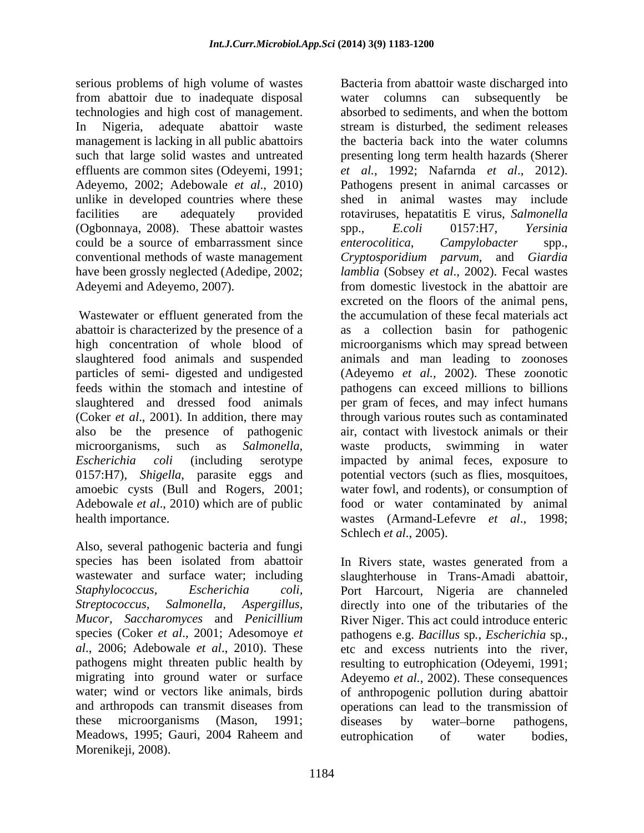serious problems of high volume of wastes Bacteria from abattoir waste discharged into from abattoir due to inadequate disposal technologies and high cost of management. management is lacking in all public abattoirs unlike in developed countries where these (Ogbonnaya, 2008). These abattoir wastes spp., E.coli 0157:H7, Yersinia could be a source of embarrassment since *enterocolitica*, *Campylobacter* spp., have been grossly neglected (Adedipe, 2002; Adeyemi and Adeyemo, 2007). Trom domestic livestock in the abattoir are

Wastewater or effluent generated from the abattoir is characterized by the presence of a high concentration of whole blood of amoebic cysts (Bull and Rogers, 2001;

Also, several pathogenic bacteria and fungi species has been isolated from abattoir wastewater and surface water; including slaughterhouse in Trans-Amadi abattoir, *Staphylococcus, Escherichia coli, Streptococcus, Salmonella, Aspergillus, Mucor, Saccharomyces* and *Penicillium* River Niger. This act could introduce enteric species (Coker *et al*., 2001; Adesomoye *et* pathogens e.g. *Bacillus* sp*.*, *Escherichia* sp*., al*., 2006; Adebowale *et al*., 2010). These etc and excess nutrients into the river, pathogens might threaten public health by resulting to eutrophication (Odeyemi, 1991; migrating into ground water or surface Adeyemo *et al.,* 2002). These consequences water; wind or vectors like animals, birds of anthropogenic pollution during abattoir and arthropods can transmit diseases from these microorganisms (Mason, 1991; diseases by water-borne pathogens, Meadows, 1995; Gauri, 2004 Raheem and eutrophication of water bodies, Morenikeji, 2008).

In Nigeria, adequate abattoir waste stream is disturbed, the sediment releases such that large solid wastes and untreated presenting long term health hazards (Sherer effluents are common sites (Odeyemi, 1991; *et al.*, 1992; Nafarnda *et al*., 2012). Adeyemo, 2002; Adebowale *et al*., 2010) Pathogens present in animal carcasses or facilities are adequately provided rotaviruses, hepatatitis E virus, *Salmonella* conventional methods of waste management *Cryptosporidium parvum*, and *Giardia*  slaughtered food animals and suspended animals and man leading to zoonoses particles of semi- digested and undigested (Adeyemo *et al.,* 2002). These zoonotic feeds within the stomach and intestine of pathogens can exceed millions to billions slaughtered and dressed food animals per gram of feces, and may infect humans (Coker *et al*., 2001). In addition, there may through various routes such as contaminated also be the presence of pathogenic air, contact with livestock animals or their microorganisms, such as *Salmonella, Escherichia coli* (including serotype impacted by animal feces, exposure to 0157:H7), *Shigella*, parasite eggs and potential vectors (such as flies, mosquitoes, Adebowale *et al*., 2010) which are of public food or water contaminated by animal health importance. wastes (Armand-Lefevre *et al*., 1998; water columns can subsequently be absorbed to sediments, and when the bottom the bacteria back into the water columns shed in animal wastes may include spp., *E.coli* 0157:H7, *Yersinia enterocolitica*, *Campylobacter* spp., *lamblia* (Sobsey *et al*., 2002). Fecal wastes from domestic livestock in the abattoir are excreted on the floors of the animal pens, the accumulation of these fecal materials act a collection basin for pathogenic microorganisms which may spread between waste products, swimming in water water fowl, and rodents), or consumption of Schlech *et al*., 2005).

> In Rivers state, wastes generated from a Port Harcourt, Nigeria are channeled directly into one of the tributaries of the operations can lead to the transmission of diseases by water borne pathogens, eutrophication of water bodies,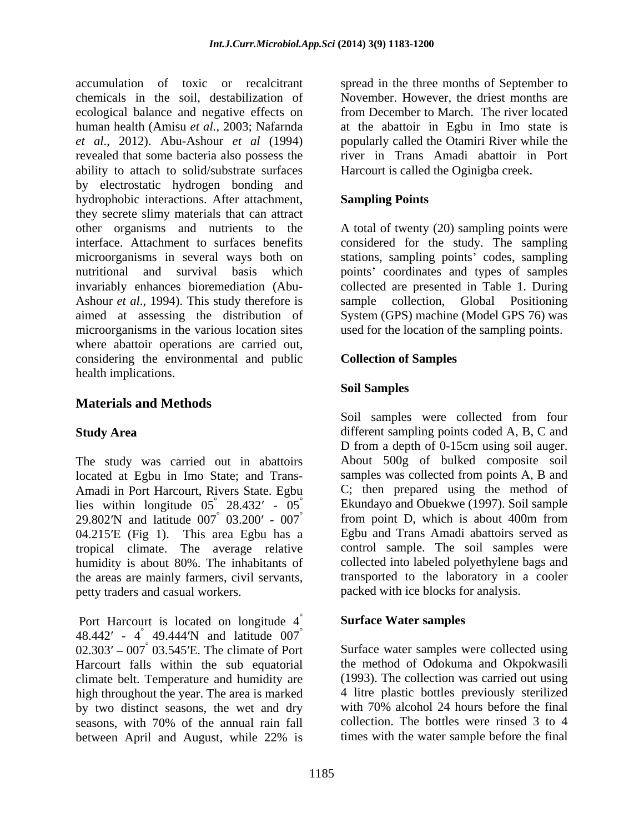accumulation of toxic or recalcitrant spread in the three months of September to chemicals in the soil, destabilization of November. However, the driest months are ecological balance and negative effects on from December to March. The river located human health (Amisu *et al.,* 2003; Nafarnda at the abattoir in Egbu in Imo state is *et al*., 2012). Abu-Ashour *et al* (1994) popularly called the Otamiri River while the revealed that some bacteria also possess the river in Trans Amadi abattoir in Port ability to attach to solid/substrate surfaces by electrostatic hydrogen bonding and hydrophobic interactions. After attachment, Sampling Points they secrete slimy materials that can attract other organisms and nutrients to the A total of twenty (20) sampling points were interface. Attachment to surfaces benefits considered for the study. The sampling microorganisms in several ways both on stations, sampling points' codes, sampling nutritional and survival basis which points' coordinates and types of samples invariably enhances bioremediation (Abu- collected are presented in Table 1. During Ashour *et al.*, 1994). This study therefore is sample collection, Global Positioning aimed at assessing the distribution of System (GPS) machine (Model GPS 76) was microorganisms in the various location sites where abattoir operations are carried out, considering the environmental and public health implications.

# **Materials and Methods**

The study was carried out in abattoirs located at Egbu in Imo State; and Trans- Amadi in Port Harcourt, Rivers State. Egbu C; then prepared using the method of lies within longitude  $05^{\circ}$  28.432' -  $05^{\circ}$ 29.802'N and latitude  $007^{\degree}$  03.200' -  $007^{\degree}$  $04.215'E$  (Fig 1). This area Egbu has a tropical climate. The average relative humidity is about 80%. The inhabitants of the areas are mainly farmers, civil servants, petty traders and casual workers.

Port Harcourt is located on longitude 4 48.442' -  $4^{\circ}$  49.444'N and latitude 007<sup>°</sup>  $\degree$  49.444 N and latitude 007 $\degree$ °  $02.303' - 007^{\circ}$  03.545'E. The climate of Port Harcourt falls within the sub equatorial climate belt. Temperature and humidity are high throughout the year. The area is marked<br>  $\frac{4 \text{ litre}}{70\%}$  alcohol 24 hours before the final<br>
hy two distinct seasons, the wet and dry with 70% alcohol 24 hours before the final by two distinct seasons, the wet and dry seasons, with 70% of the annual rain fall between April and August, while 22% is times with the water sample before the final

from December to March. The river located Harcourt is called the Oginigba creek.

## **Sampling Points**

sample collection, Global Positioning used for the location of the sampling points.

### **Collection of Samples**

### **Soil Samples**

**Study Area** different sampling points coded A, B, C and  $\degree$  28.432' -  $\degree$  05<sup>°</sup> Ekundayo and Obuekwe (1997). Soil sample  $\degree$  03.200' - 007 $\degree$  from point D, which is about 400m from Soil samples were collected from four D from a depth of 0-15cm using soil auger. About 500g of bulked composite soil samples was collected from points A, B and Egbu and Trans Amadi abattoirs served as control sample. The soil samples were collected into labeled polyethylene bags and transported to the laboratory in a cooler packed with ice blocks for analysis.

### ° **Surface Water samples**

° 03.545 E. The climate of Port Surface water samples were collected using the method of Odokuma and Okpokwasili (1993). The collection was carried out using 4 litre plastic bottles previously sterilized with 70% alcohol 24 hours before the final collection. The bottles were rinsed 3 to 4 times with the water sample before the final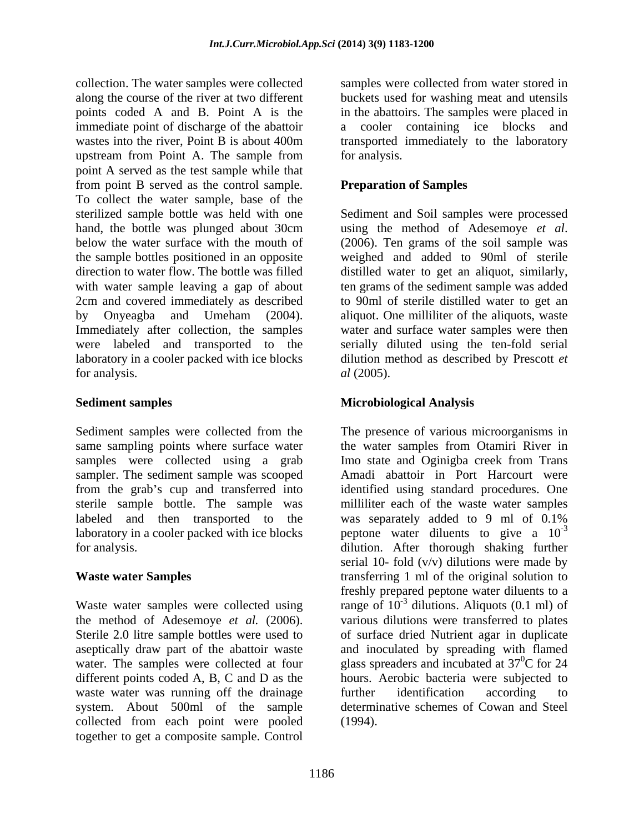collection. The water samples were collected along the course of the river at two different points coded A and B. Point A is the in the abattoirs. The samples were placed in immediate point of discharge of the abattoir wastes into the river, Point B is about 400m transported immediately to the laboratory upstream from Point A. The sample from for analysis. point A served as the test sample while that from point B served as the control sample. To collect the water sample, base of the sterilized sample bottle was held with one Sediment and Soil samples were processed hand, the bottle was plunged about 30cm using the method of Adesemoye et al. below the water surface with the mouth of (2006). Ten grams of the soil sample was the sample bottles positioned in an opposite weighed and added to 90ml of sterile direction to water flow. The bottle was filled distilled water to get an aliquot, similarly, with water sample leaving a gap of about 2cm and covered immediately as described to 90ml of sterile distilled water to get an by Onyeagba and Umeham (2004). aliquot. One milliliter of the aliquots, waste Immediately after collection, the samples were labeled and transported to the serially diluted using the ten-fold serial laboratory in a cooler packed with ice blocks dilution method as described by Prescott *et*  for analysis.  $al$  (2005).

Sediment samples were collected from the same sampling points where surface water samples were collected using a grab Imo state and Oginigba creek from Trans sampler. The sediment sample was scooped from the grab's cup and transferred into identified using standard procedures. One sterile sample bottle. The sample was milliliter each of the waste water samples labeled and then transported to the was separately added to 9 ml of 0.1% laboratory in a cooler packed with ice blocks peptone water diluents to give a  $10^{-3}$ 

Waste water samples were collected using different points coded A, B, C and D as the waste water was running off the drainage further identification according to collected from each point were pooled together to get a composite sample. Control

samples were collected from water stored in buckets used for washing meat and utensils cooler containing ice blocks and for analysis.

## **Preparation of Samples**

using the method of Adesemoye *et al*. (2006). Ten grams of the soil sample was ten grams of the sediment sample was added water and surface water samples were then *al* (2005).

## **Sediment samples Microbiological Analysis**

for analysis. dilution. After thorough shaking further **Waste water Samples** transferring 1 ml of the original solution to the method of Adesemoye *et al.* (2006). various dilutions were transferred to plates Sterile 2.0 litre sample bottles were used to of surface dried Nutrient agar in duplicate aseptically draw part of the abattoir waste and inoculated by spreading with flamed water. The samples were collected at four glass spreaders and incubated at  $37^{\circ}$ C for 24 system. About 500ml of the sample determinative schemes of Cowan and Steel The presence of various microorganisms in the water samples from Otamiri River in Amadi abattoir in Port Harcourt were was separately added to 9 ml of 0.1% -3 serial 10- fold  $(v/v)$  dilutions were made by freshly prepared peptone water diluents to a range of  $10^{-3}$  dilutions. Aliquots (0.1 ml) of  $\rm{^{0}C}$  for 24 hours. Aerobic bacteria were subjected to further identification according to (1994).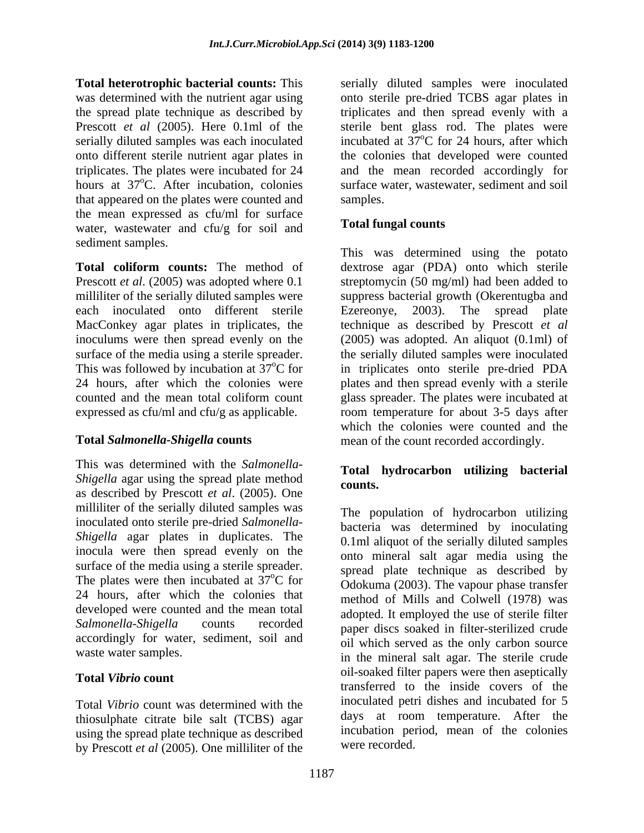the spread plate technique as described by that appeared on the plates were counted and the mean expressed as cfu/ml for surface water, wastewater and cfu/g for soil and sediment samples.

each inoculated onto different sterile Ezereonye, 2003). The spread plate MacConkey agar plates in triplicates, the expressed as cfu/ml and cfu/g as applicable.

This was determined with the *Salmonella- Shigella* agar using the spread plate method counts. as described by Prescott *et al.* (2005). One milliliter of the serially diluted samples was inoculated onto sterile pre-dried *Salmonella- Shigella* agar plates in duplicates. The inocula were then spread evenly on the surface of the media using a sterile spreader. The plates were then incubated at  $37^{\circ}$ C for 24 hours, after which the colonies that developed were counted and the mean total accordingly for water, sediment, soil and

Total *Vibrio* count was determined with the thiosulphate citrate bile salt (TCBS) agar using the spread plate technique as described by Prescott *et al* (2005). One milliliter of the

**Total heterotrophic bacterial counts:** This serially diluted samples were inoculated was determined with the nutrient agar using onto sterile pre-dried TCBS agar plates in Prescott *et al* (2005). Here 0.1ml of the sterile bent glass rod. The plates were serially diluted samples was each inoculated incubated at 37<sup>o</sup>C for 24 hours, after which onto different sterile nutrient agar plates in the colonies that developed were counted triplicates. The plates were incubated for 24 and the mean recorded accordingly for hours at 37<sup>o</sup>C. After incubation, colonies surface water, wastewater, sediment and soil triplicates and then spread evenly with a <sup>o</sup>C for 24 hours, after which samples.

# **Total fungal counts**

**Total coliform counts:** The method of dextrose agar (PDA) onto which sterile Prescott *et al.* (2005) was adopted where 0.1 streptomycin (50 mg/ml) had been added to milliliter of the serially diluted samples were suppress bacterial growth (Okerentugba and inoculums were then spread evenly on the (2005) was adopted. An aliquot (0.1ml) of surface of the media using a sterile spreader. the serially diluted samples were inoculated This was followed by incubation at 37°C for in triplicates onto sterile pre-dried PDA 24 hours, after which the colonies were plates and then spread evenly with a sterile counted and the mean total coliform count glass spreader. The plates were incubated at **Total Salmonella-Shigella counts** mean of the count recorded accordingly. This was determined using the potato Ezereonye, 2003). The spread plate technique as described by Prescott *et al* room temperature for about 3-5 days after which the colonies were counted and the

# **Total hydrocarbon utilizing bacterial counts.**

 $\rm{^{6}C}$  for Odokuma (2003). The vapour phase transfer Salmonella-Shigella counts recorded paper discs soaked in filter-sterilized crude waste water samples.<br>in the mineral salt agar. The sterile crude **Total** *Vibrio* count<br>transferred to the inside covers of the The population of hydrocarbon utilizing bacteria was determined by inoculating 0.1ml aliquot of the serially diluted samples onto mineral salt agar media using the spread plate technique as described by method of Mills and Colwell (1978) was adopted. It employed the use of sterile filter oil which served as the only carbon source oil-soaked filter papers were then aseptically inoculated petri dishes and incubated for 5 days at room temperature. After the incubation period, mean of the colonies were recorded.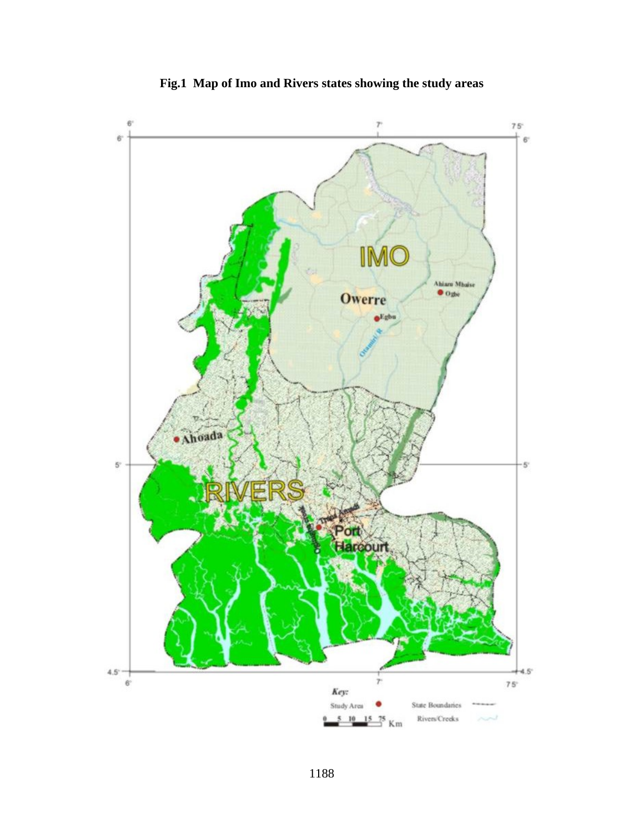

**Fig.1 Map of Imo and Rivers states showing the study areas**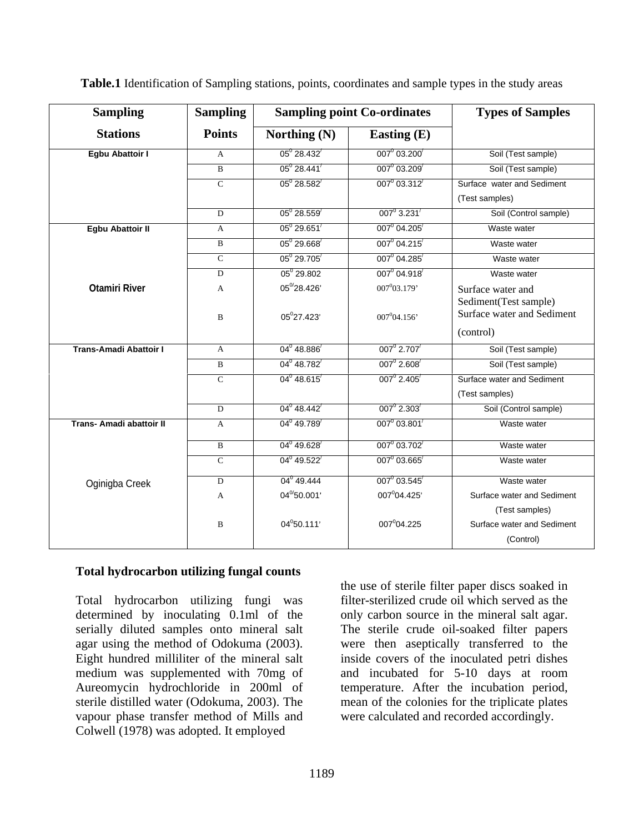| <b>Sampling</b>          | <b>Sampling</b> |                                      | <b>Sampling point Co-ordinates</b> | <b>Types of Samples</b>                                          |
|--------------------------|-----------------|--------------------------------------|------------------------------------|------------------------------------------------------------------|
| <b>Stations</b>          | <b>Points</b>   | Northing (N)                         | <b>Easting (E)</b>                 |                                                                  |
| <b>Egbu Abattoir I</b>   | $\mathbf{A}$    | $05^{\circ}$ 28.432 $^{\prime}$      | $007^0$ 03.200                     | Soil (Test sample)                                               |
|                          | $\mathbf{B}$    | $05^{\circ}$ 28.441                  | $007^0$ 03.209                     | Soil (Test sample)                                               |
|                          | $\mathcal{C}$   | $05^{\circ}$ 28.582 $^{\prime}$      | $007^0$ 03.312                     | Surface water and Sediment<br>(Test samples)                     |
|                          | $\mathbf{D}$    | $05^{\circ} 28.559'$                 | $007^{\circ}$ 3.231                | Soil (Control sample)                                            |
| <b>Egbu Abattoir II</b>  | $\mathbf{A}$    | $05^0 29.651'$                       | $007^0$ 04.205                     | Waste water                                                      |
|                          | $\mathbf{B}$    | $05^0 29.668'$                       | $007^{\circ}$ 04.215               | Waste water                                                      |
|                          | $\mathbf{C}$    | $05^{\circ} 29.705'$                 | $007^0$ 04.285                     | Waste water                                                      |
|                          | D               | $05^0$ 29.802                        | $007^0 04.918'$                    | Waste water                                                      |
| <b>Otamiri River</b>     | $\mathbf{A}$    | $05^{\text{o}}/28.426^\circ$         | $007^{0}03.179'$                   | Surface water and                                                |
|                          | $\mathbf{R}$    | 05°27.423'                           | $007^{0}04.156'$                   | Sediment(Test sample)<br>Surface water and Sediment<br>(control) |
| Trans-Amadi Abattoir I   | $\mathbf{A}$    | $04^{\mathrm{o}}$ 48.886             | $007^{\circ}$ 2.707 $^{\prime}$    | Soil (Test sample)                                               |
|                          | $\mathbf{B}$    | $04^{\circ}$ 48.782 $^{\prime}$      | $007^{\circ}$ 2.608                | Soil (Test sample)                                               |
|                          | $\mathbf{C}$    | $04^{\circ}$ 48.615 $^{\prime}$      | $007^{\circ}$ 2.405 $^{\prime}$    | Surface water and Sediment<br>(Test samples)                     |
|                          | D               | $04^{\circ}$ 48.442                  | $007^{\circ}$ 2.303                | Soil (Control sample)                                            |
| Trans- Amadi abattoir II | $\mathbf{A}$    | $04^{\circ}$ 49.789                  | $007^{\circ} 03.801^{\prime}$      | Waste water                                                      |
|                          | $\overline{B}$  | $04^{\scriptstyle 0}\,49.628^\prime$ | $007^0$ 03.702                     | Waste water                                                      |
|                          | $\mathbf{C}$    | $04^0$ 49.522                        | $007^0$ 03.665 $'$                 | Waste water                                                      |
| Oginigba Creek           | $\mathbf{D}$    | 04 <sup>0</sup> 49.444               | $007^0$ 03.545                     | Waste water                                                      |
|                          | $\mathbf{A}$    | $04^{\text{o}}$ 50.001'              | $007^004.425'$                     | Surface water and Sediment                                       |
|                          |                 |                                      |                                    | (Test samples)                                                   |
|                          | $\overline{B}$  | $04^0$ 50.111'                       | 007 $^0$ 04.225                    | Surface water and Sediment                                       |
|                          |                 |                                      |                                    | (Control)                                                        |

**Table.1** Identification of Sampling stations, points, coordinates and sample types in the study areas

#### **Total hydrocarbon utilizing fungal counts**

Total hydrocarbon utilizing fungi was determined by inoculating 0.1ml of the only carbon source in the mineral salt agar. serially diluted samples onto mineral salt The sterile crude oil-soaked filter papers agar using the method of Odokuma (2003). were then aseptically transferred to the Eight hundred milliliter of the mineral salt inside covers of the inoculated petri dishes medium was supplemented with 70mg of and incubated for 5-10 days at room Aureomycin hydrochloride in 200ml of temperature. After the incubation period, sterile distilled water (Odokuma, 2003). The mean of the colonies for the triplicate plates vapour phase transfer method of Mills and Colwell (1978) was adopted. It employed

the use of sterile filter paper discs soaked in filter-sterilized crude oil which served as the were calculated and recorded accordingly.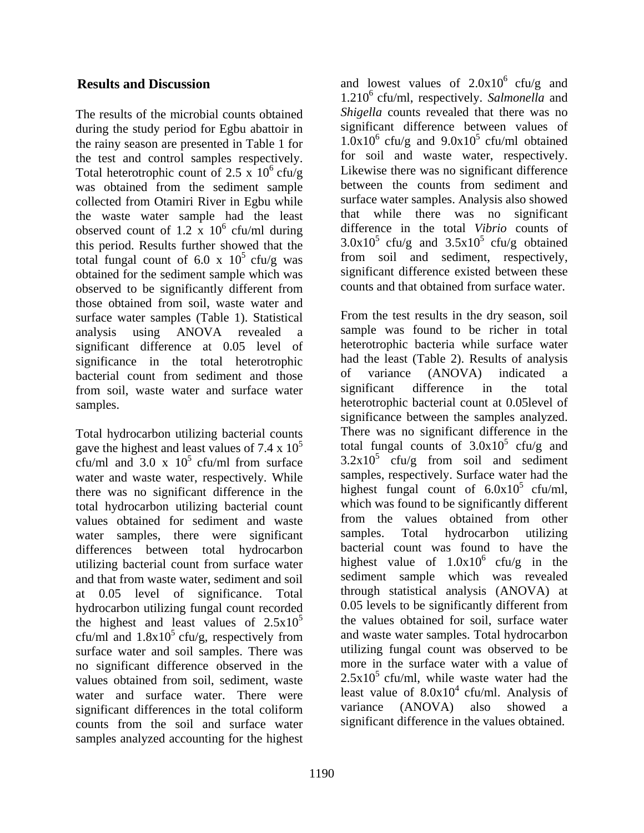The results of the microbial counts obtained during the study period for Egbu abattoir in the rainy season are presented in Table 1 for the test and control samples respectively. Total heterotrophic count of 2.5 x  $10^6$  cfu/g was obtained from the sediment sample collected from Otamiri River in Egbu while surface water samples. Analysis also showed<br>the was the water sample had the least that while there was no significant the waste water sample had the least observed count of 1.2  $\bar{x}$  10<sup>6</sup> cfu/ml during this period. Results further showed that the total fungal count of 6.0 x  $10^5$  cfu/g was obtained for the sediment sample which was observed to be significantly different from those obtained from soil, waste water and surface water samples (Table 1). Statistical significant difference at 0.05 level of significance in the total heterotrophic had the least (Table 2). Results of anal<br>hacterial count from sediment and those of variance (ANOVA) indicated bacterial count from sediment and those of variance (ANOVA) indicated a<br>from soil waste water and surface water significant difference in the total from soil, waste water and surface water

Total hydrocarbon utilizing bacterial counts gave the highest and least values of 7.4 x  $10^5$ cfu/ml and 3.0 x  $10^5$  cfu/ml from surface water and waste water, respectively. While there was no significant difference in the total hydrocarbon utilizing bacterial count values obtained for sediment and waste from the values obtained from other<br>water samples there were significant samples. Total hydrocarbon utilizing water samples, there were significant differences between total hydrocarbon and that from waste water, sediment and soil at 0.05 level of significance. Total hydrocarbon utilizing fungal count recorded the highest and least values of  $2.5x10^5$ cfu/ml and  $1.8x10^5$  cfu/g, respectively from surface water and soil samples. There was no significant difference observed in the water and surface water. There were least value of 8.0x10<sup>+</sup> cfu/ml. Analysis of significant differences in the total coliform variance (ANOVA) also showed a significant differences in the total coliform counts from the soil and surface water samples analyzed accounting for the highest

**Results and Discussion** and lowest values of  $2.0x10^6$  cfu/g and  $^6$  cfu/g Likewise there was no significant difference 6 cfu/ml during difference in the total *Vibrio* counts of  $5 \text{ cfu/g}$  was from soil and sediment, respectively,  $6$  cfu/g and 1.2106 cfu/ml, respectively. *Salmonella* and *Shigella* counts revealed that there was no significant difference between values of  $1.0x10^6$  cfu/g and  $9.0x10^5$  cfu/ml obtained for soil and waste water, respectively. between the counts from sediment and surface water samples. Analysis also showed that while there was no  $3.0x10<sup>5</sup>$  cfu/g and  $3.5x10<sup>5</sup>$  cfu/g obtained  $5 \text{ cfu/g}$  obtained significant difference existed between these counts and that obtained from surface water.

analysis using ANOVA revealed a samples. heterotrophic bacterial count at 0.05level of  $5 \text{ cfu/ml from surface}$   $3.2 \times 10^5 \text{ cfu/g from soil and sediment}$ utilizing bacterial count from surface water highest value of  $1.0x10^{\circ}$  cfu/g in the <sup>5</sup> the values obtained for soil, surface water  $5 \text{ cfu/g, respectively from}$  and waste water samples. Total hydrocarbon values obtained from soil, sediment, waste  $2.5x10^{\circ}$  cfu/ml, while waste water had the From the test results in the dry season, soil sample was found to be richer in total heterotrophic bacteria while surface water had the least (Table 2). Results of analysis of variance (ANOVA) indicated a significant difference in the total significance between the samples analyzed. There was no significant difference in the total fungal counts of  $3.0x10^5$  cfu/g and  $5 \text{ of } \mathfrak{u}/\alpha$  and cfu/g and  $3.2x10<sup>5</sup>$  cfu/g from soil and sediment cfu/g from soil and sediment samples, respectively. Surface water had the highest fungal count of  $6.0x10^5$  cfu/ml,  $5$  cfu/ml, which was found to be significantly different from the values obtained from other samples. Total hydrocarbon utilizing bacterial count was found to have the highest value of  $1.0x10^6$  cfu/g in the  $6$  cfu/g in the sediment sample which was revealed through statistical analysis (ANOVA) at 0.05 levels to be significantly different from and waste water samples. Total hydrocarbon utilizing fungal count was observed to be more in the surface water with a value of  $2.5x10^5$  cfu/ml, while waste water had the least value of  $8.0x10^4$  cfu/ml. Analysis of variance (ANOVA) also showed a significant difference in the values obtained.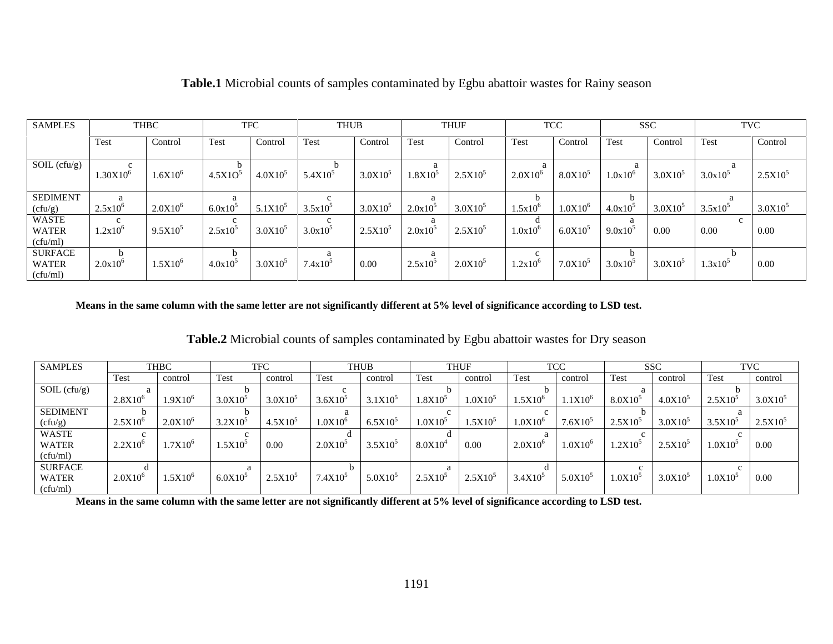| <b>SAMPLES</b>                                                                             |               | .`HBC        |                                        |                                  | THUF                                   |                         |         | TVC                                                                       |              |                                                           |  |                                                                              |              |
|--------------------------------------------------------------------------------------------|---------------|--------------|----------------------------------------|----------------------------------|----------------------------------------|-------------------------|---------|---------------------------------------------------------------------------|--------------|-----------------------------------------------------------|--|------------------------------------------------------------------------------|--------------|
|                                                                                            |               |              |                                        |                                  |                                        |                         |         |                                                                           |              |                                                           |  |                                                                              |              |
|                                                                                            | Test          | Control      | <b>Test</b>                            | Control Test                     |                                        | Control                 | ' l'est | Control                                                                   | Test         | Control Test                                              |  | Control Test                                                                 | Control      |
|                                                                                            |               |              |                                        |                                  |                                        |                         |         |                                                                           |              |                                                           |  |                                                                              |              |
| SOL (cfu/g)                                                                                | $1.30X10^{6}$ | $1.6X10^{6}$ |                                        |                                  | $4.5X10^{5}$ $4.0X10^{5}$ $5.4X10^{5}$ |                         |         | $3.0X10^{5}$ $1.8X10^{5}$ $2.5X10^{5}$                                    |              |                                                           |  | $\vert 2.0X10^6 \vert 8.0X10^5 \vert 1.0x10^6 \vert 3.0X10^5 \vert 3.0x10^5$ | $2.5X10^{5}$ |
|                                                                                            |               |              |                                        |                                  |                                        |                         |         |                                                                           |              |                                                           |  |                                                                              |              |
| SEDIMENT<br>(cfu/g)                                                                        | 2.5x10'       | $2.0X10^{6}$ | $6.0x10^3$                             | $5.1X10^{5}$ 3.5x10 <sup>5</sup> |                                        | $3.0X10^5$   $2.0x10^5$ |         | $3.0X10^5$                                                                | $1.5x10^{6}$ | $1.0X10^{6}$   $4.0x10^{5}$                               |  | $3.0X10^5$ 3.5x10 <sup>5</sup>                                               | $3.0X10^5$   |
| WASTE                                                                                      |               |              |                                        |                                  |                                        |                         |         |                                                                           |              |                                                           |  |                                                                              |              |
|                                                                                            | 1.2x10        | $9.5X10^5$   | $2.5x10^{5}$ $3.0x10^{5}$ $3.0x10^{5}$ |                                  |                                        |                         |         | $\vert 2.5 \text{X} 10^5 \vert 2.0 \text{x} 10^5 \vert 2.5 \text{X} 10^5$ |              | $1.0x10^{6}$ 6.0X10 <sup>5</sup> 9.0x10 <sup>5</sup> 0.00 |  | $\vert$ 0.00                                                                 | 0.00         |
| WATER<br>(cfu/ml)                                                                          |               |              |                                        |                                  |                                        |                         |         |                                                                           |              |                                                           |  |                                                                              |              |
| <b>SURFACE</b>                                                                             |               |              |                                        |                                  |                                        |                         |         |                                                                           |              |                                                           |  |                                                                              |              |
|                                                                                            |               | $1.5X10^{6}$ | $4.0x10^5$ $3.0x10^5$ $7.4x10^5$       |                                  |                                        | 0.00                    |         | $2.5x10^{5}$ $2.0x10^{5}$                                                 |              |                                                           |  | $1.2x10^6$   $7.0x10^5$   $3.0x10^5$   $3.0x10^5$   $1.3x10^5$   0.00        |              |
| WATER $\begin{array}{c c} \text{WATER} \\ \text{(cfu/ml)} \end{array}$ 2.0x10 <sup>6</sup> |               |              |                                        |                                  |                                        |                         |         |                                                                           |              |                                                           |  |                                                                              |              |

### **Table.1** Microbial counts of samples contaminated by Egbu abattoir wastes for Rainy season

**Means in the same column with the same letter are not significantly different at 5% level of significance according to LSD test.**

### **Table.2** Microbial counts of samples contaminated by Egbu abattoir wastes for Dry season

| <b>SAMPLES</b>                                                    |              |                  |                     |                    |                        | тны                                                                                 |                                      |  |                                                                                                                                                                                                                                                                                                                                                 |
|-------------------------------------------------------------------|--------------|------------------|---------------------|--------------------|------------------------|-------------------------------------------------------------------------------------|--------------------------------------|--|-------------------------------------------------------------------------------------------------------------------------------------------------------------------------------------------------------------------------------------------------------------------------------------------------------------------------------------------------|
|                                                                   |              |                  |                     |                    |                        |                                                                                     |                                      |  |                                                                                                                                                                                                                                                                                                                                                 |
| SOIL $(cfu/g)$                                                    |              |                  |                     |                    |                        |                                                                                     |                                      |  |                                                                                                                                                                                                                                                                                                                                                 |
|                                                                   | $2.8X10^{6}$ | $1.9X10^{6}$     | $3.0X10^5$          | $3.0X10^5$         | $\vert 3.6X10^5 \vert$ | $3.1X10^5$ $1.8X10^5$ $1.0X10^5$                                                    | $1.5X10^6$ $1.1X10^6$ $8.0X10^5$     |  | $4.0X10^{5}$ $2.5X10^{5}$ $3.0X10^{5}$                                                                                                                                                                                                                                                                                                          |
| <b>SEDIMENT</b>                                                   |              |                  |                     |                    |                        |                                                                                     |                                      |  |                                                                                                                                                                                                                                                                                                                                                 |
|                                                                   | $2.5X10^{c}$ | $2.0X10^{\circ}$ |                     | $4.5X10^5$         | $1.0X10^{\circ}$       | $\vert$ 6.5X10 <sup>5</sup> $\vert$ 1.0X10 <sup>5</sup> $\vert$ 1.5X10 <sup>5</sup> | $1.0X10^6$   $7.6X10^5$   $2.5X10^5$ |  | $3.0X10^5$ $3.5X10^5$ $2.5X10^5$                                                                                                                                                                                                                                                                                                                |
| $\begin{tabular}{c} (cfu/g)\\ \hline WASTE\\ WATER \end{tabular}$ |              |                  |                     |                    |                        |                                                                                     |                                      |  |                                                                                                                                                                                                                                                                                                                                                 |
|                                                                   | $2.2X10^6$   | $1.7X10^{6}$     | 1.5X10 <sup>5</sup> | $\vert 0.00 \vert$ | $2.0X10^5$             | $3.5X10^{5}$ $8.0X10^{4}$ 0.00                                                      |                                      |  | $2.0X10^6$   $1.0X10^6$   $1.2X10^5$   $2.5X10^5$   $1.0X10^5$   0.00                                                                                                                                                                                                                                                                           |
| (ctu/ml)                                                          |              |                  |                     |                    |                        |                                                                                     |                                      |  |                                                                                                                                                                                                                                                                                                                                                 |
| SURFACE<br>WATER                                                  |              |                  |                     |                    |                        |                                                                                     |                                      |  |                                                                                                                                                                                                                                                                                                                                                 |
|                                                                   | $2.0X10^6$   |                  |                     |                    |                        |                                                                                     |                                      |  | $\vert$ 1.5X10 <sup>6</sup> $\vert$ 6.0X10 <sup>5</sup> $\vert$ 2.5X10 <sup>5</sup> $\vert$ 7.4X10 <sup>5</sup> $\vert$ 5.0X10 <sup>5</sup> $\vert$ 2.5X10 <sup>5</sup> $\vert$ 2.5X10 <sup>5</sup> $\vert$ 3.4X10 <sup>5</sup> $\vert$ 5.0X10 <sup>5</sup> $\vert$ 1.0X10 <sup>5</sup> $\vert$ 3.0X10 <sup>5</sup> $\vert$ 1.0X10 <sup>5</sup> |
| (cfu/ml)                                                          |              |                  |                     |                    |                        |                                                                                     |                                      |  |                                                                                                                                                                                                                                                                                                                                                 |

**Means in the same column with the same letter are not significantly different at 5% level of significance according to LSD test.**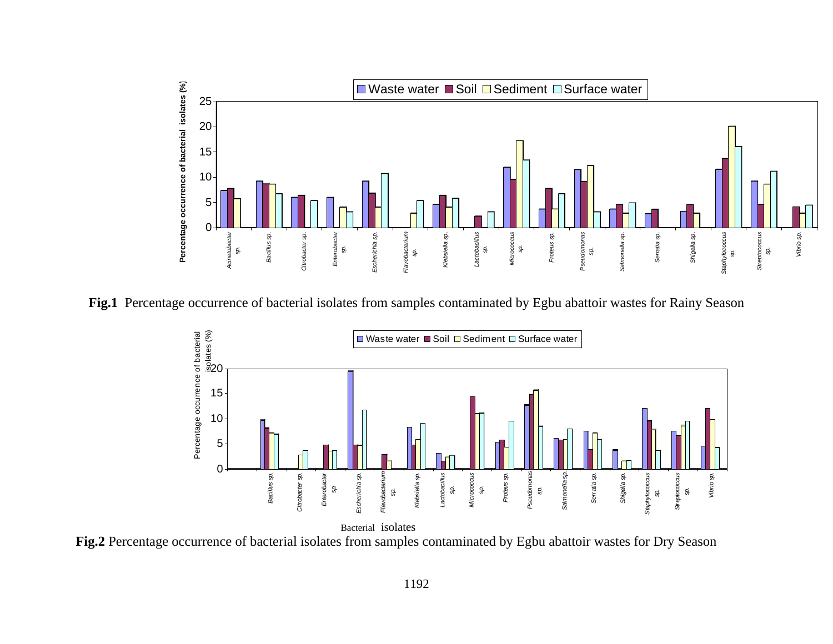

**Fig.1** Percentage occurrence of bacterial isolates from samples contaminated by Egbu abattoir wastes for Rainy Season



**Fig.2** Percentage occurrence of bacterial isolates from samples contaminated by Egbu abattoir wastes for Dry Season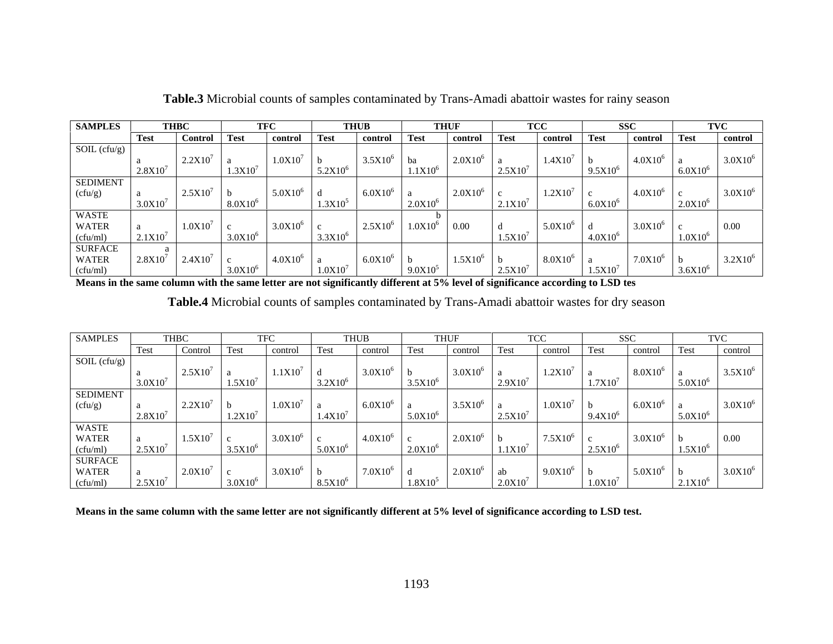| <b>SAMPLES</b>                                                                                                                                                                 |         |                |                  |              |                 |                 |                |         | $_{cc}$        |                   |                 |                       |
|--------------------------------------------------------------------------------------------------------------------------------------------------------------------------------|---------|----------------|------------------|--------------|-----------------|-----------------|----------------|---------|----------------|-------------------|-----------------|-----------------------|
|                                                                                                                                                                                |         | Control        | ' Test           |              |                 | l lest          | control Test   |         | control        | Test              |                 | control<br>  Test     |
| SOL (cfu/g)                                                                                                                                                                    |         | 2.2X10'        | 1.0X10           |              | $3.5X10^{6}$ ba |                 | $2.0X10^{6}$   |         | $1.4X10^{7}$ b |                   |                 | $3.0X10$ <sup>6</sup> |
|                                                                                                                                                                                | 2.8X10' |                | 1.3X10'          | $5.2X10^{o}$ |                 | 1.IAIU          |                | 2.5X10′ |                | $-9.5X10^{\circ}$ |                 | $6.0X10^{c}$          |
| <b>SEDIMENT</b><br>(cfu/g)                                                                                                                                                     |         | $2.5X10^7$     | 5.0X10°          |              | $6.0X10^6$      |                 | $2.0X10^{6}$   |         | $1.2X10^{7}$ c |                   |                 | $3.0X10$ <sup>6</sup> |
|                                                                                                                                                                                | 3.0X10' |                | $8.0X10^{6}$     | $1.3X10^5$   |                 |                 |                | 2.1X10′ |                | 1.6.0X10          |                 | $2.0X10^{\circ}$      |
| $\begin{tabular}{ l l } \hline \text{WASTE} \\ \text{WATER} & a \\ \hline (cfu/ml) & 2.1X10^7 \\ \hline \text{SURFACE} & a \\ \text{WATER} & 2.8X10^7 \\ \hline \end{tabular}$ |         | $1.0X10^{7}$   | 3.0X10°          |              |                 | $1.0X10^6$ 0.00 |                |         | $5.0X10^6$ d   |                   |                 |                       |
|                                                                                                                                                                                |         |                | $3.0X10^{6}$     | $3.3X10^{6}$ |                 |                 |                | 1.5X10  |                | 4.0X10            |                 | $.0X10^{\circ}$       |
|                                                                                                                                                                                |         | $2.4X10^{7}$ c | $4.0X10^{\circ}$ |              | $6.0X10^{6}$ b  |                 | $1.5X10^{6}$ t |         | $8.0X10^6$ a   |                   | 7.0X10 $^{6}$ b | $3.2X10^{6}$          |
| cfu/ml)                                                                                                                                                                        |         |                | 3.0X10           |              |                 |                 |                |         |                |                   |                 | $3.6X10^6$            |

**Table.3** Microbial counts of samples contaminated by Trans-Amadi abattoir wastes for rainy season

**Means in the same column with the same letter are not significantly different at 5% level of significance according to LSD tes**

|  | Table.4 Microbial counts of samples contaminated by Trans-Amadi abattoir wastes for dry season |  |  |  |  |
|--|------------------------------------------------------------------------------------------------|--|--|--|--|
|--|------------------------------------------------------------------------------------------------|--|--|--|--|

| <b>SAMPLES</b>                           |                     |                |                  |                       |              |              |                     |                |              |
|------------------------------------------|---------------------|----------------|------------------|-----------------------|--------------|--------------|---------------------|----------------|--------------|
|                                          | Test                | Control        | control          | control               |              | control      | control             | control        | contro       |
| SOL (cfu/g)                              |                     |                |                  |                       |              |              |                     |                |              |
|                                          |                     | $2.5X10^{7}$   | $1.1X10^{7}$ d   | $3.0X10^{6}$          |              | $3.0X10^{6}$ | $1.2X10^7$          | $8.0X10^{6}$   | $3.5X10^{6}$ |
|                                          | 3.0X10              |                | .5X10'           | $3.2X10^{6}$          | $3.5X10^{6}$ | .9X10        | 1.7X10 <sup>7</sup> |                | $5.0X10^{6}$ |
| <b>SEDIMENT</b>                          |                     |                |                  |                       |              |              |                     |                |              |
| (cfu/g)                                  |                     | $2.2X10^7$   b | 1.0X10'          | $6.0X10^{6}$          |              | $3.5X10^{6}$ | 1.0X10'             | $6.0X10^{6}$   | $3.0X10^6$   |
|                                          |                     |                | 1.2X10'          | 1.4X10'               | $5.0X10^{6}$ | 2.5X10'      | $9.4X10^{6}$        |                | $5.0X10^{6}$ |
|                                          |                     |                |                  |                       |              |              |                     |                |              |
| WASTE<br>WATER                           |                     | $1.5X10^{7}$ c | $3.0X10^{6}$     | $4.0X10^{6}$          |              | $2.0X10^{6}$ | $7.5X10^{6}$        | $3.0X10^6$ b   | 0.00         |
| (cfu/ml)<br>SURFACE<br>WATER<br>(cfu/ml) |                     |                | $3.5X10^{\circ}$ | $5.0X10$ <sup>'</sup> | $2.0X10^{6}$ | .1X10'       | $2.5X10^{6}$        |                | $1.5X10^{6}$ |
|                                          |                     |                |                  |                       |              |              |                     |                |              |
|                                          |                     | $2.0X10^7$   c | $3.0X10^{6}$ b   | $7.0X10^6$            |              | $2.0X106$ ab | $9.0X10^{6}$        | $5.0X10^{6}$ b | $3.0X10^{6}$ |
|                                          | 2.5X10 <sup>7</sup> |                | $3.0X10^{6}$     | $8.5X10^{6}$          | $1.8X10^{5}$ | $2.0X10^{7}$ | $1.0X10^{7}$        |                | $2.1X10^{6}$ |

**Means in the same column with the same letter are not significantly different at 5% level of significance according to LSD test.**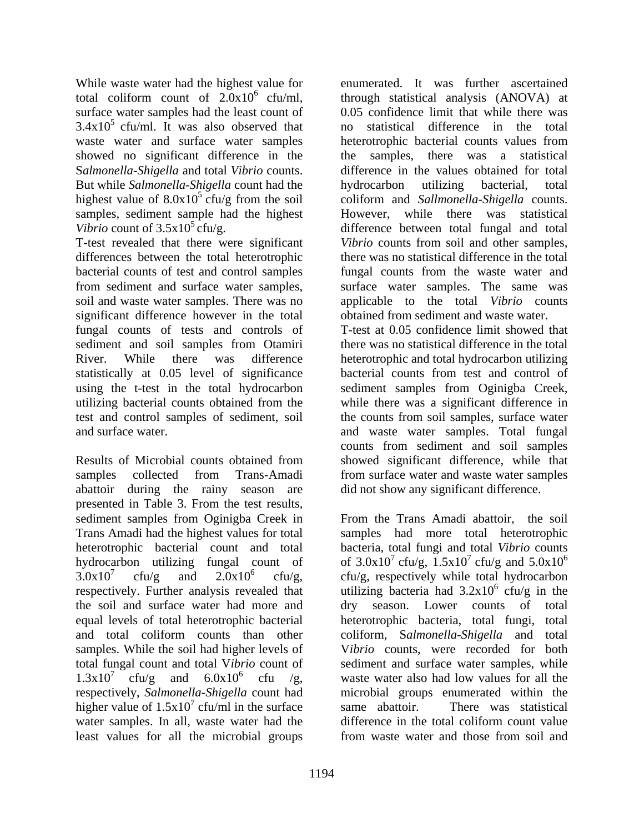surface water samples had the least count of  $3.4x10<sup>5</sup>$  cfu/ml. It was also observed that no waste water and surface water samples beterotrophic bacterial counts values from showed no significant difference in the the samples, But while *Salmonella-Shigella* count had the highest value of  $8.0x10^5$  cfu/g from the soil samples, sediment sample had the highest

T-test revealed that there were significant significant difference however in the total fungal counts of tests and controls of statistically at 0.05 level of significance using the t-test in the total hydrocarbon sediment samples from Oginigba Creek, utilizing bacterial counts obtained from the while there was a significant difference in test and control samples of sediment, soil the counts from soil samples, surface water and surface water. and waste water samples. Total fungal

Results of Microbial counts obtained from samples collected from Trans-Amadi from surface water and waste water samples abattoir during the rainy season are presented in Table 3. From the test results, sediment samples from Oginigba Creek in the soil and surface water had more and respectively, *Salmonella-Shigella* count had higher value of  $1.5x10^7$  cfu/ml in the surface same abattoir. There was statistical water samples. In all, waste water had the difference in the total coliform count value least values for all the microbial groups from waste water and those from soil and

While waste water had the highest value for enumerated. It was further ascertained total coliform count of  $2.0x10^6$  cfu/ml, through statistical analysis (ANOVA) at S*almonella-Shigella* and total *Vibrio* counts. difference in the values obtained for total  $5 \text{ cftu/g}$  from the soil coliform and Sallmonella-Shigella counts. Vibrio count of  $3.5x10^5$  cfu/g. difference between total fungal and total differences between the total heterotrophic there was no statistical difference in the total bacterial counts of test and control samples fungal counts from the waste water and from sediment and surface water samples, surface water samples. The same was soil and waste water samples. There was no applicable to the total *Vibrio* counts sediment and soil samples from Otamiri there was no statistical difference in the total River. While there was difference heterotrophic and total hydrocarbon utilizing 0.05 confidence limit that while there was statistical difference in the total heterotrophic bacterial counts values from there was a statistical hydrocarbon utilizing bacterial, total coliform and *Sallmonella-Shigella* counts. However, while there was statistical *Vibrio* counts from soil and other samples, obtained from sediment and waste water. T-test at 0.05 confidence limit showed that there was no statistical difference in the total bacterial counts from test and control of

Trans Amadi had the highest values for total samples had more total heterotrophic heterotrophic bacterial count and total bacteria, total fungi and total *Vibrio* counts hydrocarbon utilizing fungal count of of  $3.0x10^7$  cfu/g,  $1.5x10^7$  cfu/g and  $5.0x10^6$  $3.0x10^7$  cfu/g and  $2.0x10^6$  cfu/g,  $-\frac{c}{u}$  cfu/g, respectively while total hydrocarbon respectively. Further analysis revealed that  $\qquad$  utilizing bacteria had  $3.2x10^{\circ}$  cfu/g in the equal levels of total heterotrophic bacterial heterotrophic bacteria, total fungi, total and total coliform counts than other coliform, S*almonella-Shigella* and total samples. While the soil had higher levels of V*ibrio* counts, were recorded for both total fungal count and total V*ibrio* count of sediment and surface water samples, while  $1.3 \times 10^{7}$  cfu/g and  $6.0 \times 10^{6}$  cfu /g, waste water also had low values for all the cfu/ml in the surface same abattoir. There was statistical From the Trans Amadi abattoir, the soil 6  $^6$  of  $\frac{1}{2}$  in the cfu/g in the dry season. Lower counts of total microbial groups enumerated within the same abattoir. There was statistical difference in the total coliform count value from waste water and those from soil and

counts from sediment and soil samples showed significant difference, while that

did not show any significant difference.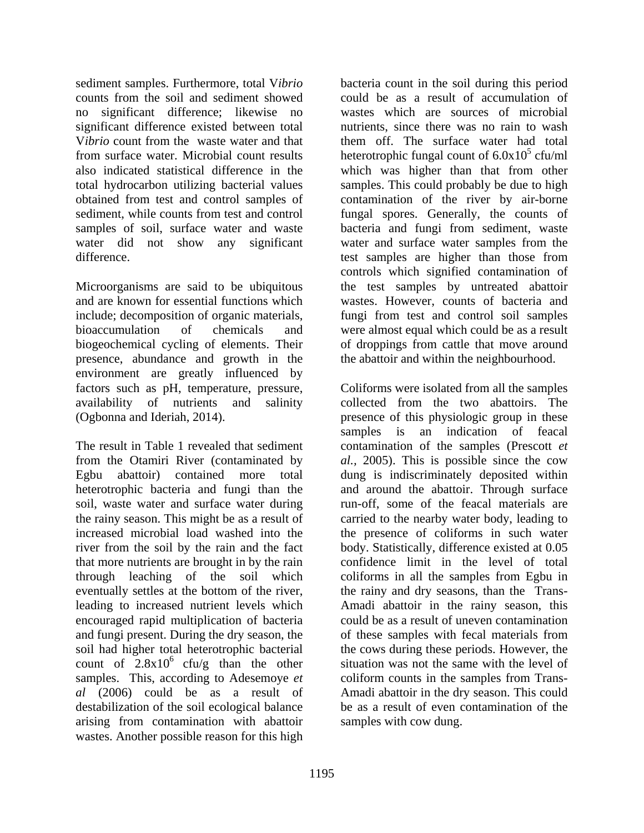sediment samples. Furthermore, total V*ibrio*  bacteria count in the soil during this period counts from the soil and sediment showed could be as a result of accumulation of no significant difference; likewise no significant difference existed between total V*ibrio* count from the waste water and that from surface water. Microbial count results heterotrophic fungal count of 6.0x10<sup>5</sup> cfu/ml also indicated statistical difference in the which was higher than that from other total hydrocarbon utilizing bacterial values samples. This could probably be due to high obtained from test and control samples of contamination of the river by air-borne sediment, while counts from test and control fungal spores. Generally, the counts of samples of soil, surface water and waste bacteria and fungi from sediment, waste water did not show any significant water and surface water samples from the difference. test samples are higher than those from

Microorganisms are said to be ubiquitous and are known for essential functions which wastes. However, counts of bacteria and include; decomposition of organic materials, fungi from test and control soil samples bioaccumulation of chemicals and were almost equal which could be as a result biogeochemical cycling of elements. Their of droppings from cattle that move around presence, abundance and growth in the environment are greatly influenced by availability of nutrients and salinity collected from the two abattoirs. The

that more nutrients are brought in by the rain encouraged rapid multiplication of bacteria soil had higher total heterotrophic bacterial count of  $2.8x10^6$  cfu/g than the other samples. This, according to Adesemoye *et* coliform counts in the samples from Transarising from contamination with abattoir wastes. Another possible reason for this high

wastes which are sources of microbial nutrients, since there was no rain to wash them off. The surface water had total  $5 \text{ of } m$ cfu/ml test samples are higher than those from controls which signified contamination of the test samples by untreated abattoir the abattoir and within the neighbourhood.

factors such as pH, temperature, pressure, Coliforms were isolated from all the samples (Ogbonna and Ideriah, 2014). presence of this physiologic group in these The result in Table 1 revealed that sediment contamination of the samples (Prescott *et*  from the Otamiri River (contaminated by *al.,* 2005). This is possible since the cow Egbu abattoir) contained more total dung is indiscriminately deposited within heterotrophic bacteria and fungi than the and around the abattoir. Through surface soil, waste water and surface water during run-off, some of the feacal materials are the rainy season. This might be as a result of carried to the nearby water body, leading to increased microbial load washed into the the presence of coliforms in such water river from the soil by the rain and the fact body. Statistically, difference existed at 0.05 through leaching of the soil which coliforms in all the samples from Egbu in eventually settles at the bottom of the river, the rainy and dry seasons, than the Transleading to increased nutrient levels which Amadi abattoir in the rainy season, this and fungi present. During the dry season, the of these samples with fecal materials from  $6$  cfu/g than the other situation was not the same with the level of *al* (2006) could be as a result of Amadi abattoir in the dry season. This could destabilization of the soil ecological balance be as a result of even contamination of the collected from the two abattoirs. The samples is an indication of feacal confidence limit in the level of total could be as a result of uneven contamination the cows during these periods. However, the coliform counts in the samples from Trans samples with cow dung.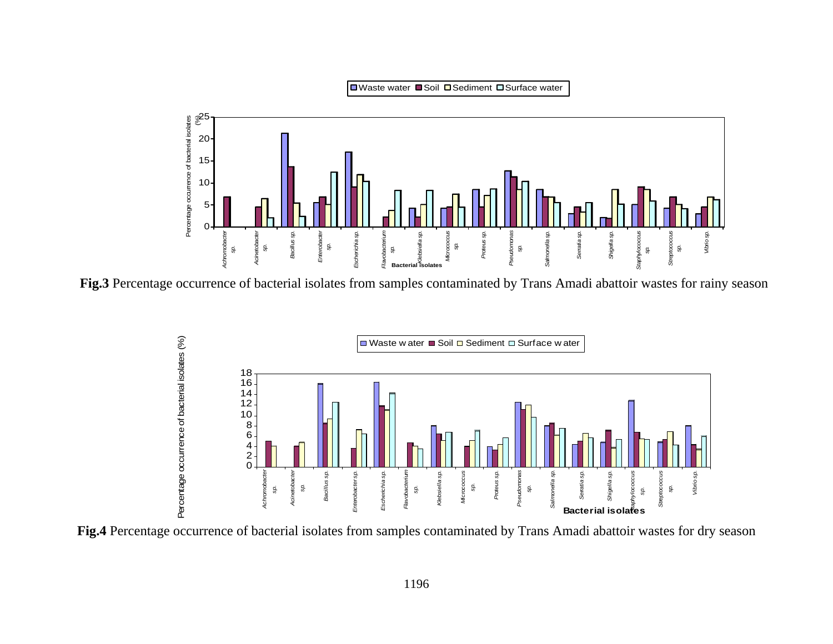

**Fig.3** Percentage occurrence of bacterial isolates from samples contaminated by Trans Amadi abattoir wastes for rainy season



**Fig.4** Percentage occurrence of bacterial isolates from samples contaminated by Trans Amadi abattoir wastes for dry season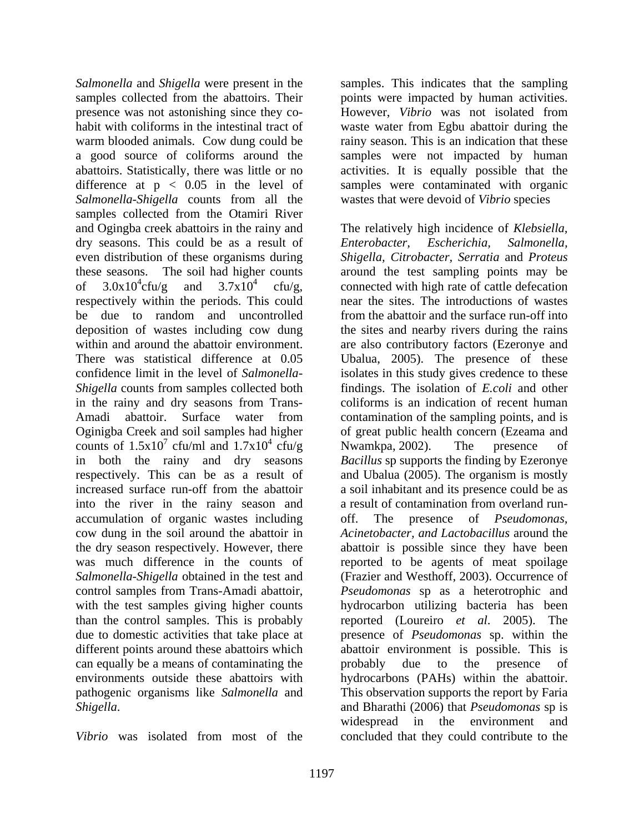Salmonella and Shigella were present in the samples. This indicates that the sampling samples collected from the abattoirs. Their points were impacted by human activities. presence was not astonishing since they co-<br>However, Vibrio was not isolated from habit with coliforms in the intestinal tract of waste water from Egbu abattoir during the warm blooded animals. Cow dung could be rainy season. This is an indication that these a good source of coliforms around the samples were not impacted by human abattoirs. Statistically, there was little or no activities. It is equally possible that the difference at p < 0.05 in the level of samples were contaminated with organic *Salmonella-Shigella* counts from all the samples collected from the Otamiri River dry seasons. This could be as a result of Enterobacter, Escherichia, Salmonella, respectively within the periods. This could in the rainy and dry seasons from Trans in both the rainy and dry seasons into the river in the rainy season and accumulation of organic wastes including cow dung in the soil around the abattoir in with the test samples giving higher counts can equally be a means of contaminating the probably due to the presence of

*Vibrio* was isolated from most of the concluded that they could contribute to the

However, *Vibrio* was not isolated from wastes that were devoid of *Vibrio* species

and Ogingba creek abattoirs in the rainy and The relatively high incidence of *Klebsiella,*  even distribution of these organisms during *Shigella, Citrobacter, Serratia* and *Proteus* these seasons. The soil had higher counts around the test sampling points may be of  $3.0x10^4$ cfu/g and  $3.7x10^4$  cfu/g, connected with high rate of cattle defecation be due to random and uncontrolled from the abattoir and the surface run-off into deposition of wastes including cow dung the sites and nearby rivers during the rains within and around the abattoir environment. are also contributory factors (Ezeronye and There was statistical difference at 0.05 Ubalua, 2005). The presence of these confidence limit in the level of *Salmonella-* isolates in this study gives credence to these *Shigella* counts from samples collected both findings. The isolation of *E.coli* and other Amadi abattoir. Surface water from contamination of the sampling points, and is Oginigba Creek and soil samples had higher of great public health concern (Ezeama and counts of  $1.5x10^7$  cfu/ml and  $1.7x10^4$  cfu/g Nwamkpa, 2002). The presence of cfu/ml and  $1.7x10^4$  cfu/g Nwamkpa, 2002). The presence of  $\frac{4}{3}$   $\sigma_{\rm F1/2}$  Nyumbas 2002) The presence of  $ctu/g$  Nwamkpa, 2002). The presence of respectively. This can be as a result of and Ubalua (2005). The organism is mostly increased surface run-off from the abattoir a soil inhabitant and its presence could be as the dry season respectively. However, there abattoir is possible since they have been was much difference in the counts of reported to be agents of meat spoilage *Salmonella-Shigella* obtained in the test and (Frazier and Westhoff, 2003). Occurrence of control samples from Trans-Amadi abattoir, *Pseudomonas* sp as a heterotrophic and than the control samples. This is probably reported (Loureiro *et al.* 2005). The due to domestic activities that take place at presence of *Pseudomonas* sp. within the different points around these abattoirs which abattoir environment is possible. This is environments outside these abattoirs with hydrocarbons (PAHs) within the abattoir. pathogenic organisms like *Salmonella* and This observation supports the report by Faria *Shigella*. and Bharathi (2006) that *Pseudomonas* sp is *Enterobacter, Escherichia, Salmonella,* near the sites. The introductions of wastes coliforms is an indication of recent human Nwamkpa, 2002). The presence of *Bacillus* sp supports the finding by Ezeronye a result of contamination from overland run presence of *Pseudomonas*, *Acinetobacter, and Lactobacillus* around the hydrocarbon utilizing bacteria has been probably due to the presence of widespread in the environment and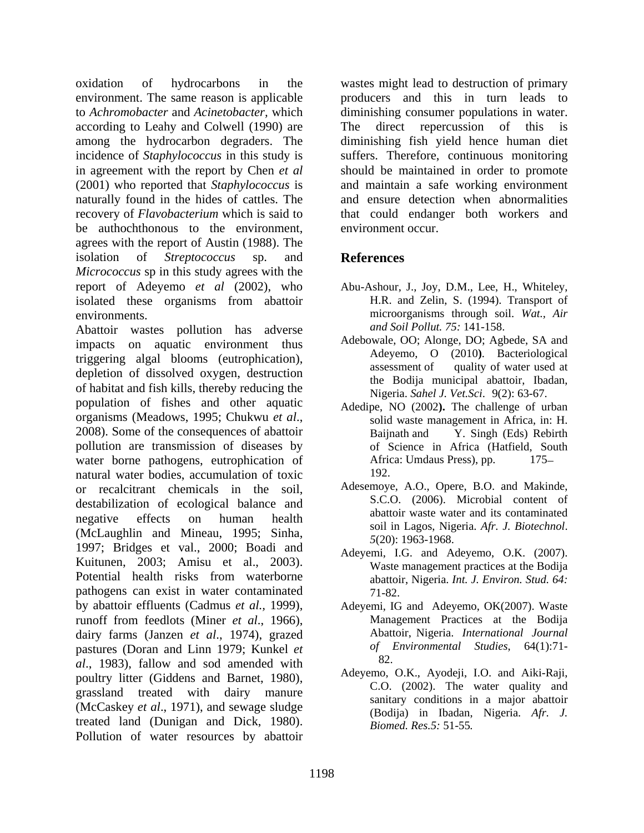oxidation of hydrocarbons in the wastes might lead to destruction of primary environment. The same reason is applicable producers and this in turn leads to to *Achromobacter* and *Acinetobacter,* which diminishing consumer populations in water. according to Leahy and Colwell (1990) are among the hydrocarbon degraders. The diminishing fish yield hence human diet incidence of *Staphylococcus* in this study is suffers. Therefore, continuous monitoring in agreement with the report by Chen *et al* should be maintained in order to promote (2001) who reported that *Staphylococcus* is and maintain a safe working environment naturally found in the hides of cattles. The recovery of *Flavobacterium* which is said to that could endanger both workers and be authochthonous to the environment, agrees with the report of Austin (1988). The isolation of *Streptococcus* sp. and *Micrococcus* sp in this study agrees with the report of Adeyemo *et al* (2002), who isolated these organisms from abattoir

Abattoir wastes pollution has adverse impacts on aquatic environment thus triggering algal blooms (eutrophication),<br>assessment of quality of water used at depletion of dissolved oxygen, destruction of habitat and fish kills, thereby reducing the population of fishes and other aquatic organisms (Meadows, 1995; Chukwu *et al.*,<br>2008). Some of the consequences of abattoir Baijnath and Y. Singh (Eds) Rebirth pollution are transmission of diseases by water borne pathogens, eutrophication of Africa: Umdaus Press), pp. 175– natural water bodies, accumulation of toxic 192. or recalcitrant chemicals in the soil, destabilization of ecological balance and negative effects on human health abatton waste water and its containmated (McLaughlin and Mineau, 1995; Sinha, 1997; Bridges et val., 2000; Boadi and Kuitunen, 2003; Amisu et al., 2003). Potential health risks from waterborne  $\omega$  abattoir. Nigeria *Int. J. Environ Stud. 64*: pathogens can exist in water contaminated by abattoir effluents (Cadmus *et al.,* 1999), Adeyemi, IG and Adeyemo, OK(2007). Waste runoff from feedlots (Miner *et al*., 1966), dairy farms (Janzen *et al*., 1974), grazed pastures (Doran and Linn 1979; Kunkel *et*  $of$  *l*<br> $cl$  1082) follow and sed amonded with 82. *al*., 1983), fallow and sod amended with poultry litter (Giddens and Barnet, 1980), grassland treated with dairy manure (McCaskey *et al*., 1971), and sewage sludge treated land (Dunigan and Dick, 1980). Pollution of water resources by abattoir

direct repercussion of this is and ensure detection when abnormalities environment occur.

## **References**

- environments. microorganisms through soil. *Wat., Air* Abu-Ashour, J., Joy, D.M., Lee, H., Whiteley, H.R. and Zelin, S. (1994). Transport of *and Soil Pollut. 75:* 141-158.
	- Adebowale, OO; Alonge, DO; Agbede, SA and Adeyemo, O (2010**)**. Bacteriological assessment of quality of water used at the Bodija municipal abattoir, Ibadan, Nigeria. *Sahel J. Vet.Sci*. 9(2): 63-67.
	- Adedipe, NO (2002**).** The challenge of urban solid waste management in Africa, in: H. Baijnath and Y. Singh (Eds) Rebirth of Science in Africa (Hatfield, South Africa: Umdaus Press), pp.  $175-$ 192.
	- Adesemoye, A.O., Opere, B.O. and Makinde, S.C.O. (2006). Microbial content of abattoir waste water and its contaminated soil in Lagos, Nigeria. *Afr. J. Biotechnol*. *5*(20): 1963-1968.
	- Adeyemi, I.G. and Adeyemo, O.K. (2007). Waste management practices at the Bodija abattoir, Nigeria. *Int. J. Environ. Stud. 64:* 71-82.
	- Management Practices at the Bodija Abattoir, Nigeria. *International Journal of Environmental Studies*, 64(1):71- 82.
	- Adeyemo, O.K., Ayodeji, I.O. and Aiki-Raji, C.O. (2002). The water quality and sanitary conditions in a major abattoir (Bodija) in Ibadan, Nigeria. *Afr. J. Biomed. Res.5:* 51-55*.*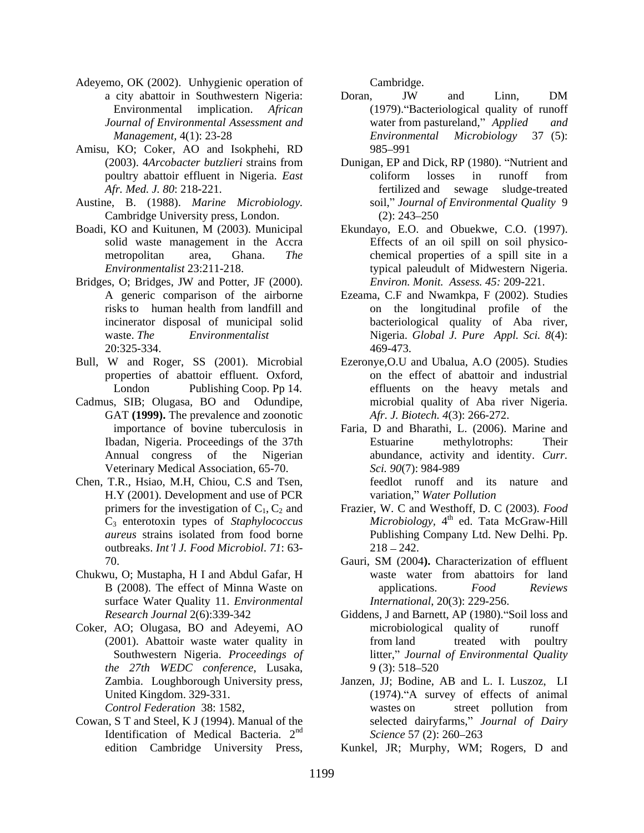- Adeyemo, OK (2002). Unhygienic operation of Cambridge.
- Amisu, KO; Coker, AO and Isokphehi, RD
- Austine, B. (1988). *Marine Microbiology*. soil," *Journal c* Cambridge University press, London. (2): 243–250 Cambridge University press, London.
- 
- Bridges, O; Bridges, JW and Potter, JF (2000). *Environ. Monit. Assess. 45:* 209-221.
- Bull, W and Roger, SS (2001). Microbial properties of abattoir effluent. Oxford,
- Cadmus, SIB; Olugasa, BO and Odundipe, GAT **(1999).** The prevalence and zoonotic Annual congress of the Nigerian Veterinary Medical Association, 65-70. Sci. 90(7): 984-989
- Chen, T.R., Hsiao, M.H, Chiou, C.S and Tsen, H.Y (2001). Development and use of PCR variation," Water Pollution outbreaks. *Int l J. Food Microbiol*. *71*: 63-
- Chukwu, O; Mustapha, H I and Abdul Gafar, H surface Water Quality 11. *Environmental*
- Coker, AO; Olugasa, BO and Adeyemi, AO *the 27th WEDC conference*, Lusaka,
- Cowan, S T and Steel, K J (1994). Manual of the Identification of Medical Bacteria.  $2<sup>nd</sup>$  Science 57 (2): 260–263

- a city abattoir in Southwestern Nigeria: Environmental implication. African (1979). Bacteriological quality of runoff *Journal of Environmental Assessment and Management,* 4(1): 23-28 *Environmental Microbiology* 37 (5): Doran, JW and Linn, DM water from pastureland," *Applied Environmental Microbiology* 37 (5): 985–991 and the state of the state of the state of the state of the state of the state of the state of the state of the state of the state of the state of the state of the state of the state of the state of the state of th
- (2003). 4*Arcobacter butzlieri* strains from Dunigan, EP and Dick, RP (1980). "Nutrient and poultry abattoir effluent in Nigeria. *East Afr. Med. J. 80*: 218-221. coliform losses in runoff from fertilized and sewage sludge-treated soil," Journal of Environmental Quality 9  $(2)$ : 243–250
- Boadi, KO and Kuitunen, M (2003). Municipal Ekundayo, E.O. and Obuekwe, C.O. (1997). solid waste management in the Accra Effects of an oil spill on soil physico metropolitan area, Ghana. *The*  chemical properties of a spill site in a *Environmentalist* 23:211-218. typical paleudult of Midwestern Nigeria. Ekundayo, E.O. and Obuekwe, C.O. (1997). *Environ. Monit. Assess. 45:* 209-221.
	- A generic comparison of the airborne Ezeama, C.F and Nwamkpa, F (2002). Studies risks to human health from landfill and incinerator disposal of municipal solid bacteriological quality of Aba river, waste. *The Environmentalist* Nigeria. *Global J. Pure Appl. Sci. 8*(4): 20:325-334. on the longitudinal profile of the 469-473.
		- London Publishing Coop. Pp 14. effluents on the heavy metals and Ezeronye,O.U and Ubalua, A.O (2005). Studies on the effect of abattoir and industrial microbial quality of Aba river Nigeria. *Afr. J. Biotech. 4*(3): 266-272.
- importance of bovine tuberculosis in Faria, D and Bharathi, L. (2006). Marine and Ibadan, Nigeria. Proceedings of the 37th Estuarine methylotrophs: Their mo. CK 2002). University control of the cambridge University Press, Cambridge University Press, Cambridge. The cambridge University Press, Cambridge. The Cambridge University Press, Cambridge. The Cambridge University Pre Estuarine methylotrophs: Their abundance, activity and identity. *Curr. Sci. 90*(7): 984-989 feedlot runoff and its nature and variation," Water Pollution
	- primers for the investigation of C<sub>1</sub>, C<sub>2</sub> and Frazier, W. C and Westhoff, D. C (2003). *Food* C<sub>3</sub> enterotoxin types of *Staphylococcus* Microbiology, 4<sup>th</sup> ed. Tata McGraw-Hill *aureus* strains isolated from food borne Publishing Company Ltd. New Delhi. Pp.  $218 - 242.$
	- 70. Gauri, SM (2004**).** Characterization of effluent B (2008). The effect of Minna Waste on  $\qquad$  applications. Food Reviews waste water from abattoirs for land applications. *Food Reviews International*, 20(3): 229-256.
	- *Research Journal* 2(6):339-342 **Giddens, J and Barnett, AP** (1980). Soil loss and (2001). Abattoir waste water quality in Southwestern Nigeria. *Proceedings of* litter," Journal of Environmental Quality microbiological quality of from land treated with poultry litter," *Journal of Environmental Quality*<br>9 (3): 518–520
	- Zambia. Loughborough University press, Janzen, JJ; Bodine, AB and L. I. Luszoz, LI United Kingdom. 329-331. (1974). A survey of effects of animal *Control Federation* 38: 1582,  $Saines 57(2) \cdot 260(262)$ wastes on street pollution from selected dairyfarms," Journal of Dairy *Science* 57 (2): 260–263
		- Kunkel, JR; Murphy, WM; Rogers, D and